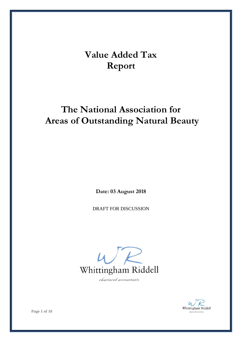# **Value Added Tax Report**

## **The National Association for Areas of Outstanding Natural Beauty**

**Date: 03 August 2018**

DRAFT FOR DISCUSSION



chartered accountants



**Page 1 of 10**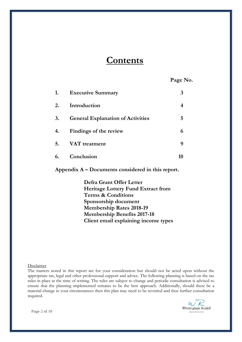## **Contents**

**Page No.**

| 1. | <b>Executive Summary</b>                 |   |
|----|------------------------------------------|---|
| 2. | Introduction                             | 4 |
| 3. | <b>General Explanation of Activities</b> | 5 |
| 4. | Findings of the review                   |   |
| 5. | VAT treatment                            | Q |
| 6. | Conclusion                               |   |

**Appendix A – Documents considered in this report.**

**Defra Grant Offer Letter Heritage Lottery Fund Extract from Terms & Conditions Sponsorship document Membership Rates 2018-19 Membership Benefits 2017-18 Client email explaining income types**

Disclaimer

The matters noted in this report are for your consideration but should not be acted upon without the appropriate tax, legal and other professional support and advice. The following planning is based on the tax rules in place at the time of writing. The rules are subject to change and periodic consultation is advised to ensure that the planning implemented remains to be the best approach. Additionally, should there be a material change in your circumstances then this plan may need to be revisited and thus further consultation required.



**Page 2 of 10**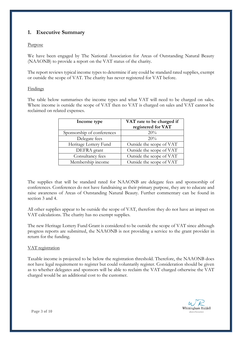## **1. Executive Summary**

## Purpose

We have been engaged by The National Association for Areas of Outstanding Natural Beauty (NAAONB) to provide a report on the VAT status of the charity.

The report reviews typical income types to determine if any could be standard rated supplies, exempt or outside the scope of VAT. The charity has never registered for VAT before.

### Findings

The table below summarises the income types and what VAT will need to be charged on sales. Where income is outside the scope of VAT then no VAT is charged on sales and VAT cannot be reclaimed on related expenses.

| Income type                | VAT rate to be charged if<br>registered for VAT |
|----------------------------|-------------------------------------------------|
| Sponsorship of conferences | 20%                                             |
| Delegate fees              | 20%                                             |
| Heritage Lottery Fund      | Outside the scope of VAT                        |
| DEFRA grant                | Outside the scope of VAT                        |
| Consultancy fees           | Outside the scope of VAT                        |
| Membership income          | Outside the scope of VAT                        |

The supplies that will be standard rated for NAAONB are delegate fees and sponsorship of conferences. Conferences do not have fundraising as their primary purpose, they are to educate and raise awareness of Areas of Outstanding Natural Beauty. Further commentary can be found in section 3 and 4.

All other supplies appear to be outside the scope of VAT, therefore they do not have an impact on VAT calculations. The charity has no exempt supplies.

The new Heritage Lottery Fund Grant is considered to be outside the scope of VAT since although progress reports are submitted, the NAAONB is not providing a service to the grant provider in return for the funding.

### VAT registration

Taxable income is projected to be below the registration threshold. Therefore, the NAAONB does not have legal requirement to register but could voluntarily register. Consideration should be given as to whether delegates and sponsors will be able to reclaim the VAT charged otherwise the VAT charged would be an additional cost to the customer.



**Page 3 of 10**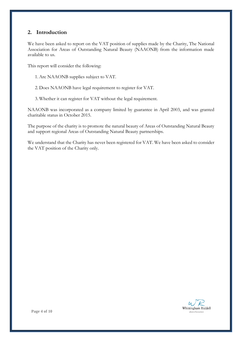## **2. Introduction**

We have been asked to report on the VAT position of supplies made by the Charity, The National Association for Areas of Outstanding Natural Beauty (NAAONB) from the information made available to us.

This report will consider the following:

- 1. Are NAAONB supplies subject to VAT.
- 2. Does NAAONB have legal requirement to register for VAT.
- 3. Whether it can register for VAT without the legal requirement.

NAAONB was incorporated as a company limited by guarantee in April 2003, and was granted charitable status in October 2015.

The purpose of the charity is to promote the natural beauty of Areas of Outstanding Natural Beauty and support regional Areas of Outstanding Natural Beauty partnerships.

We understand that the Charity has never been registered for VAT. We have been asked to consider the VAT position of the Charity only.

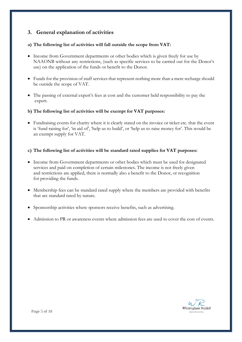## **3. General explanation of activities**

## **a) The following list of activities will fall outside the scope from VAT:**

- Income from Government departments or other bodies which is given freely for use by NAAONB without any restrictions, (such as specific services to be carried out for the Donor's use) on the application of the funds or benefit to the Donor.
- Funds for the provision of staff services that represent nothing more than a mere recharge should be outside the scope of VAT.
- The passing of external expert's fees at cost and the customer held responsibility to pay the expert.

### **b) The following list of activities will be exempt for VAT purposes:**

 Fundraising events for charity where it is clearly stated on the invoice or ticket etc. that the event is 'fund raising for', 'in aid of', 'help us to build', or 'help us to raise money for'. This would be an exempt supply for VAT.

## **c) The following list of activities will be standard rated supplies for VAT purposes:**

- Income from Government departments or other bodies which must be used for designated services and paid on completion of certain milestones. The income is not freely given and restrictions are applied, there is normally also a benefit to the Donor, or recognition for providing the funds.
- Membership fees can be standard rated supply where the members are provided with benefits that are standard rated by nature.
- Sponsorship activities where sponsors receive benefits, such as advertising.
- Admission to PR or awareness events where admission fees are used to cover the cost of events.

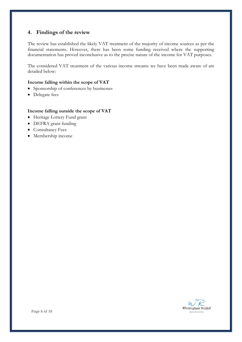## **4. Findings of the review**

The review has established the likely VAT treatment of the majority of income sources as per the financial statements. However, there has been some funding received where the supporting documentation has proved inconclusive as to the precise nature of the income for VAT purposes.

The considered VAT treatment of the various income streams we have been made aware of are detailed below:

#### **Income falling within the scope of VAT**

- Sponsorship of conferences by businesses
- Delegate fees

#### **Income falling outside the scope of VAT**

- Heritage Lottery Fund grant
- DEFRA grant funding
- Consultancy Fees
- Membership income

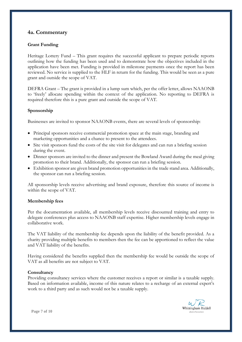## **4a. Commentary**

## **Grant Funding**

Heritage Lottery Fund – This grant requires the successful applicant to prepare periodic reports outlining how the funding has been used and to demonstrate how the objectives included in the application have been met. Funding is provided in milestone payments once the report has been reviewed. No service is supplied to the HLF in return for the funding. This would be seen as a pure grant and outside the scope of VAT.

DEFRA Grant – The grant is provided in a lump sum which, per the offer letter, allows NAAONB to 'freely' allocate spending within the context of the application. No reporting to DEFRA is required therefore this is a pure grant and outside the scope of VAT.

### **Sponsorship**

Businesses are invited to sponsor NAAONB events, there are several levels of sponsorship:

- Principal sponsors receive commercial promotion space at the main stage, branding and marketing opportunities and a chance to present to the attendees.
- Site visit sponsors fund the costs of the site visit for delegates and can run a briefing session during the event.
- Dinner sponsors are invited to the dinner and present the Bowland Award during the meal giving promotion to their brand. Additionally, the sponsor can run a briefing session.
- Exhibition sponsor are given brand promotion opportunities in the trade stand area. Additionally, the sponsor can run a briefing session.

All sponsorship levels receive advertising and brand exposure, therefore this source of income is within the scope of VAT.

#### **Membership fees**

Per the documentation available, all membership levels receive discounted training and entry to delegate conferences plus access to NAAONB staff expertise. Higher membership levels engage in collaborative work.

The VAT liability of the membership fee depends upon the liability of the benefit provided. As a charity providing multiple benefits to members then the fee can be apportioned to reflect the value and VAT liability of the benefits.

Having considered the benefits supplied then the membership fee would be outside the scope of VAT as all benefits are not subject to VAT.

#### **Consultancy**

Providing consultancy services where the customer receives a report or similar is a taxable supply. Based on information available, income of this nature relates to a recharge of an external expert's work to a third party and as such would not be a taxable supply.

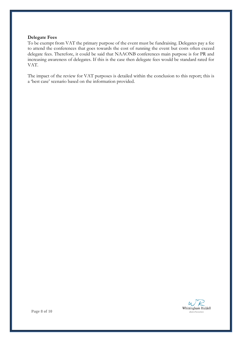#### **Delegate Fees**

To be exempt from VAT the primary purpose of the event must be fundraising. Delegates pay a fee to attend the conferences that goes towards the cost of running the event but costs often exceed delegate fees. Therefore, it could be said that NAAONB conferences main purpose is for PR and increasing awareness of delegates. If this is the case then delegate fees would be standard rated for VAT.

The impact of the review for VAT purposes is detailed within the conclusion to this report; this is a 'best case' scenario based on the information provided.

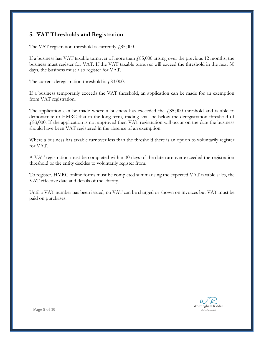## **5. VAT Thresholds and Registration**

The VAT registration threshold is currently  $\mu$ 85,000.

If a business has VAT taxable turnover of more than  $\ell$ 85,000 arising over the previous 12 months, the business must register for VAT. If the VAT taxable turnover will exceed the threshold in the next 30 days, the business must also register for VAT.

The current deregistration threshold is  $£83,000$ .

If a business temporarily exceeds the VAT threshold, an application can be made for an exemption from VAT registration.

The application can be made where a business has exceeded the  $\mu$  (85,000 threshold and is able to demonstrate to HMRC that in the long term, trading shall be below the deregistration threshold of £83,000. If the application is not approved then VAT registration will occur on the date the business should have been VAT registered in the absence of an exemption.

Where a business has taxable turnover less than the threshold there is an option to voluntarily register for VAT.

A VAT registration must be completed within 30 days of the date turnover exceeded the registration threshold or the entity decides to voluntarily register from.

To register, HMRC online forms must be completed summarising the expected VAT taxable sales, the VAT effective date and details of the charity.

Until a VAT number has been issued, no VAT can be charged or shown on invoices but VAT must be paid on purchases.